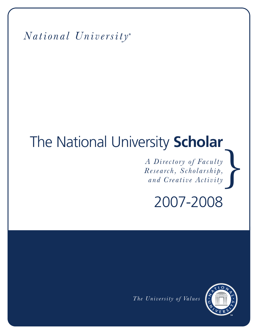*National University* **®**

# The National University **Scholar**

 $\begin{bmatrix} \n\end{bmatrix}$ *A Directory of Faculty Research, Scholarship, and Creative Activity*

2007-2008

*The University of Values*

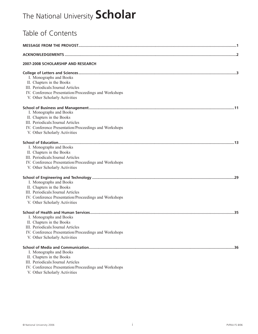## The National University **Scholar**

| Table of Contents                                                                                                                                                                   |  |
|-------------------------------------------------------------------------------------------------------------------------------------------------------------------------------------|--|
|                                                                                                                                                                                     |  |
|                                                                                                                                                                                     |  |
| 2007-2008 SCHOLARSHIP AND RESEARCH                                                                                                                                                  |  |
| I. Monographs and Books<br>II. Chapters in the Books<br>III. Periodicals/Journal Articles<br>IV. Conference Presentation/Proceedings and Workshops<br>V. Other Scholarly Activities |  |
| I. Monographs and Books<br>II. Chapters in the Books<br>III. Periodicals/Journal Articles<br>IV. Conference Presentation/Proceedings and Workshops<br>V. Other Scholarly Activities |  |
| I. Monographs and Books<br>II. Chapters in the Books<br>III. Periodicals/Journal Articles<br>IV. Conference Presentation/Proceedings and Workshops<br>V. Other Scholarly Activities |  |
| I. Monographs and Books<br>II. Chapters in the Books<br>III. Periodicals/Journal Articles<br>IV. Conference Presentation/Proceedings and Workshops<br>V. Other Scholarly Activities |  |
| I. Monographs and Books<br>II. Chapters in the Books<br>III. Periodicals/Journal Articles<br>IV. Conference Presentation/Proceedings and Workshops<br>V. Other Scholarly Activities |  |
| I. Monographs and Books<br>II. Chapters in the Books<br>III. Periodicals/Journal Articles<br>IV. Conference Presentation/Proceedings and Workshops                                  |  |

V. Other Scholarly Activities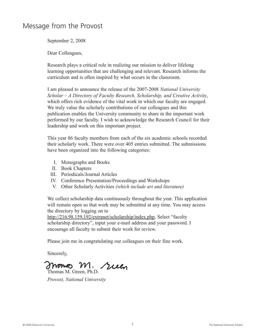### Message from the Provost

September 2, 2008

Dear Colleagues,

Research plays a critical role in realizing our mission to deliver lifelong learning opportunities that are challenging and relevant. Research informs the curriculum and is often inspired by what occurs in the classroom.

I am pleased to announce the release of the 2007-2008 *National University Scholar – A Directory of Faculty Research, Scholarship, and Creative Activity*, which offers rich evidence of the vital work in which our faculty are engaged*.* We truly value the scholarly contributions of our colleagues and this publication enables the University community to share in the important work performed by our faculty. I wish to acknowledge the Research Council for their leadership and work on this important project.

This year 86 faculty members from each of the six academic schools recorded their scholarly work. There were over 405 entries submitted. The submissions have been organized into the following categories:

- I. Monographs and Books
- II. Book Chapters
- III. Periodicals/Journal Articles
- IV. Conference Presentation/Proceedings and Workshops
- V. Other Scholarly Activities *(which include art and literature)*

We collect scholarship data continuously throughout the year. This application will remain open so that work may be submitted at any time. You may access the directory by logging on to

http://216.98.159.192/extranet/scholarship/index.php, Select "faculty scholarship directory", input your e-mail address and your password. I encourage all faculty to submit their work for review.

Please join me in congratulating our colleagues on their fine work.

Sincerely,

M. suen mome Thomas M. Green, Ph.D.

*Provost, National University*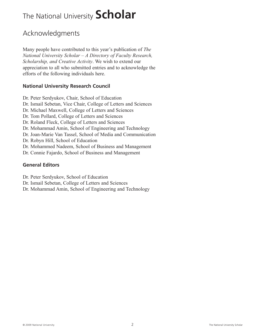## The National University **Scholar**

### Acknowledgments

Many people have contributed to this year's publication of *The National University Scholar – A Directory of Faculty Research, Scholarship, and Creative Activity*. We wish to extend our appreciation to all who submitted entries and to acknowledge the efforts of the following individuals here.

#### **National University Research Council**

- Dr. Peter Serdyukov, Chair, School of Education Dr. Ismail Sebetan, Vice Chair, College of Letters and Sciences Dr. Michael Maxwell, College of Letters and Sciences Dr. Tom Pollard, College of Letters and Sciences Dr. Roland Fleck, College of Letters and Sciences
- Dr. Mohammad Amin, School of Engineering and Technology
- Dr. Joan-Marie Van Tassel, School of Media and Communication
- Dr. Robyn Hill, School of Education
- Dr. Mohammed Nadeem, School of Business and Management
- Dr. Connie Fajardo, School of Business and Management

#### **General Editors**

- Dr. Peter Serdyukov, School of Education
- Dr. Ismail Sebetan, College of Letters and Sciences
- Dr. Mohammad Amin, School of Engineering and Technology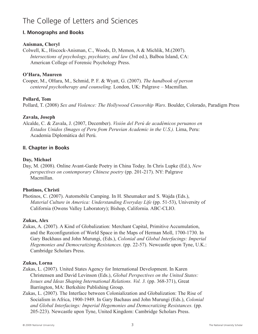#### **I. Monographs and Books**

#### **Anisman, Cheryl**

Colwell, K., Hiscock-Anisman, C., Woods, D, Memon, A & Michlik, M.(2007). *Intersections of psychology, psychiatry, and law* (3rd ed.), Balboa Island, CA: American College of Forensic Psychology Press.

#### **O'Hara, Maureen**

Cooper, M., OHara, M., Schmid, P. F. & Wyatt, G. (2007). *The handbook of person centered psychotherapy and counseling.* London, UK: Palgrave – Macmillan.

#### **Pollard, Tom**

Pollard, T. (2008) *Sex and Violence: The Hollywood Censorship Wars*. Boulder, Colorado, Paradigm Press

#### **Zavala, Joseph**

Alcalde, C. & Zavala, J. (2007, December). *Visión del Perú de académicos peruanos en Estados Unidos (Images of Peru from Peruvian Academic in the U.S.).* Lima, Peru: Academia Diplomática del Perú.

#### **II. Chapter in Books**

#### **Day, Michael**

Day, M. (2008). Online Avant-Garde Poetry in China Today. In Chris Lupke (Ed.), *New perspectives on contemporary Chinese poetry* (pp. 201-217). NY: Palgrave Macmillan.

#### **Photinos, Christi**

Photinos, C. (2007). Automobile Camping. In H. Sheumaker and S. Wajda (Eds.), *Material Culture in America: Understanding Everyday Life* (pp. 51-53), University of California (Owens Valley Laboratory); Bishop, California. ABC-CLIO.

#### **Zukas, Alex**

Zukas, A. (2007). A Kind of Globalization: Merchant Capital, Primitive Accumulation, and the Reconfiguration of World Space in the Maps of Herman Moll, 1700-1730. In Gary Backhaus and John Murungi, (Eds.), *Colonial and Global Interfacings: Imperial Hegemonies and Democratizing Resistances.* (pp. 22-57). Newcastle upon Tyne, U.K.: Cambridge Scholars Press.

#### **Zukas, Lorna**

- Zukas, L. (2007). United States Agency for International Development. In Karen Christensen and David Levinson (Eds.), *Global Perspectives on the United States: Issues and Ideas Shaping International Relations. Vol. 3.* (pp. 368-371), Great Barrington, MA: Berkshire Publishing Group.
- Zukas, L. (2007). The Interface between Colonialization and Globalization: The Rise of Socialism in Africa, 1900-1949. In Gary Bachaus and John Murungi (Eds.), *Colonial and Global Interfacings: Imperial Hegemonies and Democratizing Resistances.* (pp. 205-223). Newcastle upon Tyne, United Kingdom: Cambridge Scholars Press.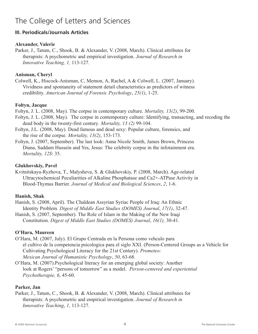#### **III. Periodicals/Journals Articles**

#### **Alexander, Valerie**

Parker, J., Tatum, C., Shook, B. & Alexander, V. (2008, March). Clinical attributes for therapists: A psychometric and empirical investigation. *Journal of Research in Innovative Teaching, 1,* 113-127.

#### **Anisman, Cheryl**

Colwell, K., Hiscock-Anisman, C, Memon, A, Rachel, A & Colwell, L. (2007, January). Vividness and spontaneity of statement detail characteristics as predictors of witness credibility. *American Journal of Forensic Psychology*, *25(1)*, 1-25.

#### **Foltyn, Jacque**

Foltyn, J. L. (2008, May). The corpse in contemporary culture*. Mortality, 13(2)*, 99-200.

- Foltyn, J. L. (2008, May). The corpse in contemporary culture: Identifying, transacting, and recoding the dead body in the twenty-first century*. Mortality, 13 (2)* 99-104.
- Foltyn, J.L. (2008, May). Dead famous and dead sexy: Popular culture, forensics, and the rise of the corpse*. Mortality, 13(2)*, 153-173.
- Foltyn, J. (2007, September). The last look: Anna Nicole Smith, James Brown, Princess Diana, Saddam Hussein and Yes, Jesus: The celebrity corpse in the infotainment era. *Mortality, 12S*: 35.

#### **Glukhovskiy, Pavel**

Kvitnitskaya-Ryzhova, T., Malysheva, S. & Glukhovskiy, P. (2008, March). Age-related Ultracytochemical Peculiarities of Alkaline Phosphatase and Ca2+-ATPase Activity in Blood-Thymus Barrier. *Journal of Medical and Biological Sciences*, *2*, 1-6.

#### **Hanish, Shak**

Hanish, S. (2008, April). The Chaldean Assyrian Syriac People of Iraq: An Ethnic Identity Problem*. Digest of Middle East Studies (DOMES) Journal*, *17(1)*, 32-47.

Hanish, S. (2007, September). The Role of Islam in the Making of the New Iraqi Constitution. *Digest of Middle East Studies (DOMES) Journal*, *16(1),* 30-41.

#### **O'Hara, Maureen**

- O'Hara, M. (2007, July). El Grupo Centrada en la Persona como vehculo para el cultivo de la competencia psicologica para el siglo XXI. (Person-Centered Groups as a Vehicle for Cultivating Psychological Literacy for the 21st Century). *Prometeo: Mexican Journal of Humanistic Psychology*, *50*, 63-68.
- O'Hara, M. (2007).Psychological literacy for an emerging global society: Another look at Rogers' "persons of tomorrow" as a model. *Person-centered and experiential Psychotherapie, 6*, 45-60.

#### **Parker, Jan**

Parker, J., Tatum, C., Shook, B. & Alexander, V. (2008, March). Clinical attributes for therapists: A psychometric and empirical investigation. *Journal of Research in Innovative Teaching*, *1,* 113-127.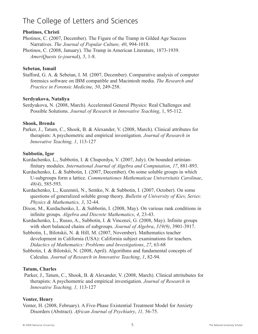#### **Photinos, Christi**

Photinos, C. (2007, December). The Figure of the Tramp in Gilded Age Success Narratives. *The Journal of Popular Culture, 40*, 994-1018.

Photinos, C. (2008, January). The Tramp in American Literature, 1873-1939. *AmeriQuests (e-journa*l), *5*, 1-8.

#### **Sebetan, Ismail**

Stafford, G. A. & Sebetan, I. M. (2007, December). Comparative analysis of computer forensics software on IBM compatible and Macintosh media. *The Research and Practice in Forensic Medicine, 50*, 249-258.

#### **Serdyukova, Nataliya**

Serdyukova, N. (2008, March). Accelerated General Physics: Real Challenges and Possible Solutions. *Journal of Research in Innovative Teaching*, 1, 95-112.

#### **Shook, Brenda**

Parker, J., Tatum, C., Shook, B. & Alexander, V. (2008, March). Clinical attributes for therapists: A psychometric and empirical investigation. *Journal of Research in Innovative Teaching, 1*, 113-127

#### **Subbotin, Igor**

- Kurdachenko, L., Subbotin, I. & Chupordya, V. (2007, July). On bounded artinianfinitary modules. *International Journal of Algebra and Computation*, *17*, 881-893.
- Kurdachenko, L. & Subbotin, I. (2007, December). On some soluble groups in which U-subgroups form a lattice. *Commentationes Mathematicae Universitatis Carolinae*, *48(4)*, 585-593.
- Kurdachenko, L., Kuzennii, N., Semko, N. & Subbotin, I. (2007, October). On some questions of generalized soluble group theory. *Bulletin of University of Kiev, Series: Physics & Mathematics, 3*, 32-44.
- Dixon, M., Kurdachenko, L. & Subbotin, I. (2008, May). On various rank conditions in infinite groups. *Algebra and Discrete Mathematics*, *4*, 23-43.
- Kurdachenko, L., Russo, A., Subbotin, I. & Vincenzi, G. (2008, May). Infinite groups with short balanced chains of subgroups*. Journal of Algebra*, *319(9)*, 3901-3917.
- Subbotin, I., Bilotskii, N. & Hill, M. (2007, November). Mathematics teacher development in California (USA): California subject examinations for teachers. *Didactics of Mathematics: Problems and Investigations*, *27*, 63-68
- Subbotin, I. & Bilotskii, N. (2008, April). Algorithms and fundamental concepts of Calculus*. Journal of Research in Innovative Teaching*, *1*, 82-94.

#### **Tatum, Charles**

Parker, J., Tatum, C., Shook, B. & Alexander, V. (2008, March). Clinical attritubutes for therapists: A psychometric and empirical investigation. *Journal of Research in Innovative Teaching, 1,* 113-127

#### **Venter, Henry**

Venter, H. (2008, February). A Five-Phase Existential Treatment Model for Anxiety Disorders (Abstract)*. African Journal of Psychiatry*, *11,* 56-75.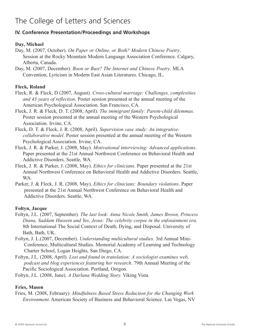#### **IV. Conference Presentation/Proceedings and Workshops**

#### **Day, Michael**

- Day, M. (2007, October). *On Paper or Online, or Both? Modern Chinese Poetry*. Session at the Rocky Mountain Modern Language Association Conference. Calgary, Alberta, Canada.
- Day, M. (2007, December). *Boon or Bust? The Internet and Chinese Poetry*. MLA Convention, Lyricism in Modern East Asian Literatures. Chicago, IL.

#### **Fleck, Roland**

- Fleck, R. & Fleck, D (2007, August). *Cross-cultural marriage: Challenges, complexities and 43 years of reflection*. Poster session presented at the annual meeting of the American Psychological Association. San Francisco, CA.
- Fleck, J. R. & Fleck, D. T. (2008, April). *The immigrant family: Parent-child dilemmas.* Poster session presented at the annual meeting of the Western Psychological Association. Irvine, CA.
- Fleck, D. T. & Fleck, J. R. (2008, April). *Supervision case study: An integrativecollaborative model*. Poster session presented at the annual meeting of the Western Psychological Association. Irvine, CA.
- Fleck, J. R. & Parker, J. (2008, May). *Motivational interviewing: Advanced applications*. Paper presented at the 21st Annual Northwest Conference on Behavioral Health and Addictive Disorders. Seattle, WA.
- Fleck, J. R. & Parker, J. (2008, May). *Ethics for clinicians*. Paper presented at the 21st Annual Northwest Conference on Behavioral Health and Addictive Disorders. Seattle, WA.
- Parker, J. & Fleck, J. R. (2008, May). *Ethics for clinicians: Boundary violations*. Paper presented at the 21st Annual Northwest Conference on Behavioral Health and Addictive Disorders. Seattle, WA.

#### **Foltyn, Jacque**

- Foltyn, J.L. (2007, September)*. The last look: Anna Nicole Smith, James Brown, Princess Diana, Saddam Hussein and Yes, Jesus: The celebrity corpse in the enfotainment era.* 8th International The Social Context of Death, Dying, and Disposal. University of Bath, Bath, UK.
- Foltyn, J. L.(2007, December). *Understanding multicultural studies.* 3rd Annual Mini-Conference, Multicultural Studies. Memorial Academy of Learning and Technology Charter School, Logan Heights, San Diego, CA.
- Foltyn, J.L. (2008, April). *Lost and found in translation: A sociologist examines web, podcast and blog experiences featuring her research.* 79th Annual Meeting of the Pacific Sociological Association. Portland, Oregon.

Foltyn, J.L. (2008, June). *A Darlana Wedding Story.* Viking Vista.

#### **Fries, Mason**

Fries, M. (2008, February). *Mindfulness Based Stress Reduction for the Changing Work Environment*. American Society of Business and Behavioral Science. Las Vegas, NV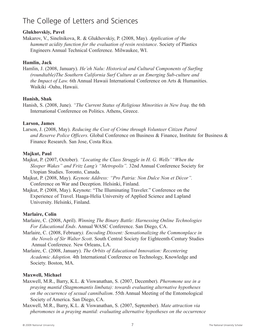#### **Glukhovskiy, Pavel**

Makarov, V., Sinelnikova, R. & Glukhovskiy, P. (2008, May). *Application of the hammett acidity function for the evaluation of resin resistance*. Society of Plastics Engineers Annual Technical Conference. Milwaukee, WI.

#### **Hamlin, Jack**

Hamlin, J. (2008, January). *He'eh Nalu: Historical and Cultural Components of Surfing (roundtable)The Southern California Surf Culture as an Emerging Sub-culture and the Impact of Law.* 6th Annual Hawaii International Conference on Arts & Humanities. Waikiki -Oahu, Hawaii.

#### **Hanish, Shak**

Hanish, S. (2008, June). *"The Current Status of Religious Minorities in New Iraq.* the 6th International Conference on Politics. Athens, Greece.

#### **Larson, James**

Larson, J. (2008, May). *Reducing the Cost of Crime through Volunteer Citizen Patrol and Reserve Police Officers.* Global Conference on Business & Finance, Institute for Business & Finance Research. San Jose, Costa Rica.

#### **Majkut, Paul**

Majkut, P. (2007, October). *"Locating the Class Struggle in H. G. Wells' "When the Sleeper Wakes" and Fritz Lang's "Metropolis".* 32nd Annual Conference Society for Utopian Studies. Toronto, Canada.

- Majkut, P. (2008, May). *Keynote Address: "Pro Patria: Non Dulce Non et Décor".* Conference on War and Deception. Helsinki, Finland.
- Majkut, P. (2008, May). Keynote: "The Illuminating Traveler." Conference on the Experience of Travel. Haaga-Helia University of Applied Science and Lapland University. Helsinki, Finland.

#### **Marlaire, Colin**

- Marlaire, C. (2008, April). *Winning The Binary Battle: Harnessing Online Technologies For Educational Ends*. Annual WASC Conference. San Diego, CA.
- Marlaire, C. (2008, February*). Encoding Dissent: Sensationalizing the Commonplace in the Novels of Sir Walter Scott*. South Central Society for Eighteenth-Century Studies Annual Conference. New Orleans, LA.
- Marlaire, C. (2008, January). *The Orbits of Educational Innovation: Recentering Academic Adoption.* 4th International Conference on Technology, Knowledge and Society. Boston, MA.

#### **Maxwell, Michael**

- Maxwell, M.R., Barry, K.L. & Viswanathan, S. (2007, December). *Pheromone use in a praying mantid (Stagmomantis limbata): towards evaluating alternative hypotheses on the occurrence of sexual cannibalism*. 55th Annual Meeting of the Entomological Society of America. San Diego, CA.
- Maxwell, M.R., Barry, K.L. & Viswanathan, S. (2007, September). *Mate attraction via pheromones in a praying mantid: evaluating alternative hypotheses on the occurrence*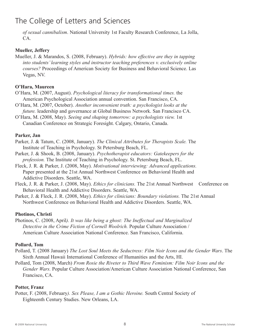*of sexual cannibalism*. National University 1st Faculty Research Conference, La Jolla, CA.

#### **Mueller, Jeffery**

Mueller, J. & Marandos, S. (2008, February). *Hybrids: how effective are they in tapping into students'learning styles and instructor teaching preferences v. exclusively online courses?* Proceedings of American Society for Business and Behavioral Science. Las Vegas, NV.

#### **O'Hara, Maureen**

- O'Hara, M. (2007, August). *Psychological literacy for transformational times.* the American Psychological Association annual convention. San Francisco, CA.
- O'Hara, M. (2007, October). *Another inconvenient truth: a psychologist looks at the future.* leadership and governance at Global Business Network. San Francisco CA.
- O'Hara, M. (2008, May). *Seeing and shaping tomorrow: a psychologists view.* 1st Canadian Conference on Strategic Foresight. Calgary, Ontario, Canada.

#### **Parker, Jan**

- Parker, J. & Tatum, C. (2008, January). *The Clinical Attributes for Therapists Scale.* The Institute of Teaching in Psychology. St Petersburg Beach, FL.
- Parker, J. & Shook, B. (2008, January). *Psychotherapist educators: Gatekeepers for the profession.* The Institute of Teaching in Psychology. St. Petersburg Beach, FL.
- Fleck, J. R. & Parker, J. (2008, May). *Motivational interviewing: Advanced applications.* Paper presented at the 21st Annual Northwest Conference on Behavioral Health and Addictive Disorders. Seattle, WA.
- Fleck, J. R. & Parker, J. (2008, May). *Ethics for clinicians.* The 21st Annual Northwest Conference on Behavioral Health and Addictive Disorders. Seattle, WA.
- Parker, J. & Fleck, J. R. (2008, May). *Ethics for clinicians: Boundary violations.* The 21st Annual Northwest Conference on Behavioral Health and Addictive Disorders. Seattle, WA.

#### **Photinos, Christi**

Photinos, C. (2008, April*). It was like being a ghost: The Ineffectual and Marginalized Detective in the Crime Fiction of Cornell Woolrich.* Popular Culture Association / American Culture Association National Conference. San Francisco, California.

#### **Pollard, Tom**

- Pollard, T. (2008 January) *The Lost Soul Meets the Seductress: Film Noir Icons and the Gender Wars*. The Sixth Annual Hawaii International Conference of Humanities and the Arts, HI.
- Pollard, Tom (2008, March) *From Rosie the Riveter to Third Wave Feminism: Film Noir Icons and the Gender Wars.* Popular Culture Association/American Culture Association National Conference, San Francisco, CA.

#### **Potter, Franz**

Potter, F. (2008, February*). Sex Please, I am a Gothic Heroine.* South Central Society of Eighteenth Century Studies. New Orleans, LA.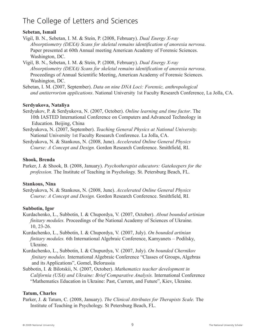#### **Sebetan, Ismail**

- Vigil, B. N., Sebetan, I. M. & Stein, P. (2008, February). *Dual Energy X-ray Absorptiometry (DEXA) Scans for skeletal remains identification of anorexia nervosa*. Paper presented at 60th Annual meeting American Academy of Forensic Sciences. Washington, DC.
- Vigil, B. N., Sebetan, I. M. & Stein, P. (2008, February). *Dual Energy X-ray Absorptiometry (DEXA) Scans for skeletal remains identification of anorexia nervosa*. Proceedings of Annual Scientific Meeting, American Academy of Forensic Sciences. Washington, DC.
- Sebetan, I. M. (2007, September). *Data on nine DNA Loci: Forensic, anthropological and antiterrorism applications*. National University 1st Faculty Research Conference, La Jolla, CA.

#### **Serdyukova, Nataliya**

- Serdyukov, P. & Serdyukova, N. (2007, October). *Online learning and time factor*. The 10th IASTED International Conference on Computers and Advanced Technology in Education. Beijing, China
- Serdyukova, N. (2007, September). *Teaching General Physics at National University.* National University 1st Faculty Research Conference. La Jolla, CA.
- Serdyukova, N. & Stankous, N. (2008, June). *Accelerated Online General Physics Course: A Concept and Design.* Gordon Research Conference. Smithfield, RI.

#### **Shook, Brenda**

Parker, J. & Shook, B. (2008, January). *Psychotherapist educators: Gatekeepers for the profession.* The Institute of Teaching in Psychology. St. Petersburg Beach, FL.

#### **Stankous, Nina**

Serdyukova, N. & Stankous, N. (2008, June). *Accelerated Online General Physics Course: A Concept and Design.* Gordon Research Conference. Smithfield, RI.

#### **Subbotin, Igor**

- Kurdachenko, L., Subbotin, I. & Chupordya, V. (2007, October). *About bounded artinian finitary modules.* Proceedings of the National Academy of Sciences of Ukraine. 10, 23-26.
- Kurdachenko, L., Subbotin, I. & Chupordya, V. (2007, July). *On bounded artinian finitary modules.* 6th International Algebraic Conference, Kamyanets – Podilsky, Ukraine.
- Kurdachenko, L., Subbotin, I. & Chupurdya, V. (2007, July). *On bounded Chernikov finitary modules.* International Algebraic Conference "Classes of Groups, Algebras and its Applications", Gomel, Belorussia
- Subbotin, I. & Bilotskii, N. (2007, October). *Mathematics teacher development in California (USA) and Ukraine: Brief Comparative Analysis.* International Conference "Mathematics Education in Ukraine: Past, Current, and Future", Kiev, Ukraine.

#### **Tatum, Charles**

Parker, J. & Tatum, C. (2008, January). *The Clinical Attributes for Therapists Scale.* The Institute of Teaching in Psychology. St Petersburg Beach, FL.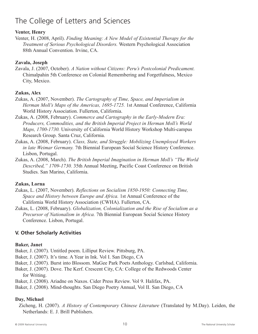#### **Venter, Henry**

Venter, H. (2008, April). *Finding Meaning: A New Model of Existential Therapy for the Treatment of Serious Psychological Disorders.* Western Psychological Association 88th Annual Convention. Irvine, CA.

#### **Zavala, Joseph**

Zavala, J. (2007, October). *A Nation without Citizens: Peru's Postcolonial Predicament.* Chimalpahin 5th Conference on Colonial Remembering and Forgetfulness, Mexico City, Mexico.

#### **Zukas, Alex**

- Zukas, A. (2007, November). *The Cartography of Time, Space, and Imperialism in Herman Moll's Maps of the Americas, 1695-1725.* 1st Annual Conference, California World History Association. Fullerton, California.
- Zukas, A. (2008, February). *Commerce and Cartography in the Early-Modern Era: Producers, Commodities, and the British Imperial Project in Herman Moll's World Maps, 1700-1730.* University of California World History Workshop Multi-campus Research Group. Santa Cruz, California.
- Zukas, A. (2008, February). *Class, State, and Struggle: Mobilizing Unemployed Workers in late Weimar Germany.* 7th Biennial European Social Science History Conference. Lisbon, Portugal.
- Zukas, A. (2008, March). *The British Imperial Imagination in Herman Moll's "The World Described," 1709-1730.* 35th Annual Meeting, Pacific Coast Conference on British Studies. San Marino, California.

#### **Zukas, Lorna**

- Zukas, L. (2007, November). *Reflections on Socialism 1850-1950: Connecting Time, Space and History between Europe and Africa.* 1st Annual Conference of the California World History Association (CWHA). Fullerton, CA.
- Zukas, L. (2008, February). *Globalization, Colonialization and the Rise of Socialism as a Precursor of Nationalism in Africa.* 7th Biennial European Social Science History Conference. Lisbon, Portugal.

#### **V. Other Scholarly Activities**

#### **Baker, Janet**

- Baker, J. (2007). Untitled poem. Lilliput Review. Pittsburg, PA.
- Baker, J. (2007). It's time. A Year in Ink. Vol I. San Diego, CA
- Baker, J. (2007). Burst into Blossom. MaGee Park Poets Anthology. Carlsbad, California.
- Baker, J. (2007). Dove. The Kerf. Crescent City, CA: College of the Redwoods Center for Writing.
- Baker, J. (2008). Ariadne on Naxos. Cider Press Review. Vol 9. Halifax, PA.
- Baker, J. (2008). Mind-thoughts. San Diego Poetry Annual, Vol II. San Diego, CA

#### **Day, Michael**

Zicheng, H. (2007). *A History of Contemporary Chinese Literature* (Translated by M.Day). Leiden, the Netherlands: E. J. Brill Publishers.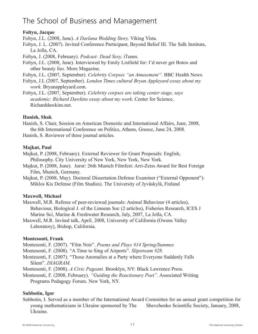### The School of Business and Management

#### **Foltyn, Jacque**

Foltyn, J.L. (2008, June). *A Darlana Wedding Story.* Viking Vista.

Foltyn, J. L. (2007). Invited Conference Participant, Beyond Belief III. The Salk Institute, La Jolla, CA.

Foltyn, J. (2008, February). *Podcast: Dead Sexy.* iTunes.

Foltyn, J.L. (2008, June). Interviewed by Emily Listfield for: I'd never get Botox and other beauty lie*s.* More Magazine.

Foltyn, J.L. (2007, September). *Celebrity Corpses "an Amusement".* BBC Health News.

Foltyn, J.L (2007, September). *London Times cultural Bryan Appleyard essay about my work.* Bryanappleyard.com.

Foltyn, J.L. (2007, September). *Celebrity corpses are taking center stage, says academic: Richard Dawkins essay about my work.* Center for Science, Richarddawkins.net.

#### **Hanish, Shak**

Hanish, S. Chair, Session on American Domestic and International Affairs, June, 2008, the 6th International Conference on Politics, Athens, Greece, June 24, 2008.

Hanish, S. Reviewer of three journal articles.

#### **Majkut, Paul**

Majkut, P. (2008, February). External Reviewer for Grant Proposals: English, Philosophy. City University of New York, New York, New York.

Majkut, P. (2008, June). Juror: 26th Munich Filmfest: Arri-Zeiss Award for Best Foreign Film, Munich, Germany.

Majkut, P. (2008, May). Doctoral Dissertation Defense Examiner ("External Opponent"): Miklos Kis Defense (Film Studies). The University of Jyväskylä, Finland

#### **Maxwell, Michael**

- Maxwell, M.R. Referee of peer-reviewed journals: Animal Behaviour (4 articles), Behaviour, Biological J. of the Linnean Soc (2 articles), Fisheries Research, ICES J Marine Sci, Marine & Freshwater Research, July, 2007, La Jolla, CA.
- Maxwell, M.R. Invited talk, April, 2008, University of California (Owens Valley Laboratory), Bishop, California.

#### **Montesonti, Frank**

Montesonti, F. (2007). "Film Noir". *Poems and Plays #14 Spring/Summer.*

Montesonti, F. (2008). "A Time to Sing of Airports". *Slipstream #28.*

Montesonti, F. (2007). "Those Anomalies at a Party where Everyone Suddenly Falls Silent". *DIAGRAM.*

Montesonti, F. (2008). *A Civic Pageant.* Brooklyn, NY: Black Lawrence Press.

Montesonti, F. (2008, February). *"Guiding the Reactionary Poet".* Associated Writing

Programs Pedagogy Forum. New York, NY.

#### **Subbotin, Igor**

Subbotin, I. Served as a member of the International Award Committee for an annual grant competition for young mathematicians in Ukraine sponsored by The Shevchenko Scientific Society, January, 2008, Ukraine.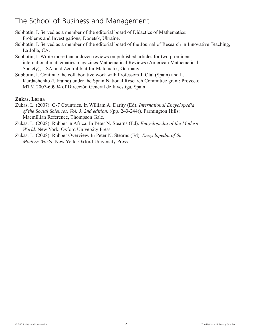### The School of Business and Management

- Subbotin, I. Served as a member of the editorial board of Didactics of Mathematics: Problems and Investigations, Donetsk, Ukraine.
- Subbotin, I. Served as a member of the editorial board of the Journal of Research in Innovative Teaching, La Jolla, CA.
- Subbotin, I. Wrote more than a dozen reviews on published articles for two prominent international mathematics magazines Mathematical Reviews (American Mathematical Society), USA, and Zentrallblat fur Matematik, Germany.
- Subbotin, I. Continue the collaborative work with Professors J. Otal (Spain) and L. Kurdachenko (Ukraine) under the Spain National Research Committee grant: Proyecto MTM 2007-60994 of Dirección General de Investiga, Spain.

#### **Zukas, Lorna**

- Zukas, L. (2007). G-7 Countries. In William A. Darity (Ed). *International Encyclopedia of the Social Sciences, Vol. 3, 2nd edition.* ((pp. 243-244)). Farmington Hills: Macmillian Reference, Thompson Gale.
- Zukas, L. (2008). Rubber in Africa. In Peter N. Stearns (Ed). *Encyclopedia of the Modern World.* New York: Oxford University Press.
- Zukas, L. (2008). Rubber Overview. In Peter N. Stearns (Ed). *Encyclopedia of the Modern World.* New York: Oxford University Press.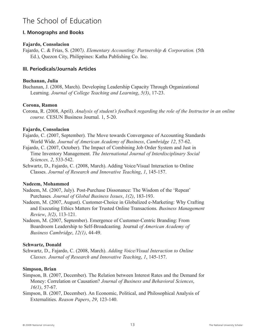#### **I. Monographs and Books**

#### **Fajardo, Consolacion**

Fajardo, C. & Frias, S. (2007*). Elementary Accounting: Partnership & Corporation.* (5th Ed.), Quezon City, Philippines: Katha Publishing Co. Inc.

#### **III. Periodicals/Journals Articles**

#### **Buchanan, Julia**

Buchanan, J. (2008, March). Developing Leadership Capacity Through Organizational Learning*. Journal of College Teaching and Learning*, *5(3)*, 17-23.

#### **Corona, Ramon**

Corona, R. (2008, April). *Analysis of student's feedback regarding the role of the Instructor in an online course.* CESUN Business Journal. 1, 5-20.

#### **Fajardo, Consolacion**

- Fajardo, C. (2007, September). The Move towards Convergence of Accounting Standards World Wide. *Journal of American Academy of Business*, *Cambridge 12*, 57-62.
- Fajardo, C. (2007, October). The Impact of Combining Job Order System and Just in Time Inventory Management. *The International Journal of Interdisciplinary Social Sciences, 2*, 533-542.
- Schwartz, D., Fajardo, C. (2008, March). Adding Voice/Visual Interaction to Online Classes. *Journal of Research and Innovative Teaching*, *1*, 145-157.

#### **Nadeem, Mohammed**

- Nadeem, M. (2007, July). Post-Purchase Dissonance: The Wisdom of the 'Repeat' Purchases*. Journal of Global Business Issues*, *1(2)*, 183-193.
- Nadeem, M. (2007, August). Customer-Choice in Globalized e-Marketing: Why Crafting and Executing Ethics Matters for Trusted Online Transactions*. Business Management Review*, *3(2)*, 113-121.
- Nadeem, M. (2007, September). Emergence of Customer-Centric Branding: From Boardroom Leadership to Self-Broadcasting*.* Journal *of American Academy of Business Cambridge*, *12(1)*, 44-49.

#### **Schwartz, Donald**

Schwartz, D., Fajardo, C. (2008, March). *Adding Voice/Visual Interaction to Online Classes. Journal of Research and Innovative Teaching*, *1*, 145-157.

#### **Simpson, Brian**

- Simpson, B. (2007, December). The Relation between Interest Rates and the Demand for Money: Correlation or Causation? *Journal of Business and Behavioral Sciences*, *16(1)*, 57-67.
- Simpson, B. (2007, December). An Economic, Political, and Philosophical Analysis of Externalities. *Reason Papers*, *29*, 123-140.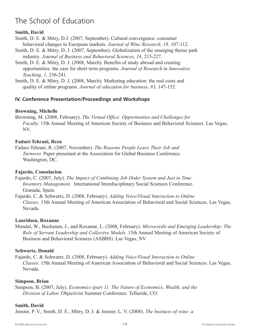#### **Smith, David**

- Smith, D. E. & Mitry, D.J. (2007, September). Cultural convergence: consumer behavioral changes in European markets*. Journal of Wine Research, 18,* 107-112.
- Smith, D. E. & Mitry, D. J. (2007, September). Globalization of the emerging theme park industry*. Journal of Business and Behavioral Sciences*, *16*, 215-227.
- Smith, D. E. & Mitry, D. J. (2008, March). Benefits of study abroad and creating opportunities: the case for short term programs. *Journal of Research in Innovative Teaching, 1,* 236-241.
- Smith, D. E. & Mitry, D. J. (2008, March). Marketing education: the real costs and quality of online programs. *Journal of education for business, 83,* 147-152*.*

#### **IV. Conference Presentation/Proceedings and Workshops**

#### **Browning, Michelle**

Browning, M. (2008, February). *The Virtual Office: Opportunities and Challenges for Faculty.* 15th Annual Meeting of American Society of Business and Behavioral Sciences. Las Vegas, NV.

#### **Fadaei-Tehrani, Reza**

Fadaei-Tehrani, R. (2007, November). *The Reasons People Leave Their Job and Turnover.* Paper presented at the Association for Global Business Conference. Washington, DC.

#### **Fajardo, Consolacion**

Fajardo, C. (2007, July). *The Impact of Combining Job Order System and Just in Time Inventory Management.* International Interdisciplinary Social Sciences Conference. Granada, Spain.

Fajardo, C. & Schwartz, D. (2008, February). *Adding Voice/Visual Interaction to Online Classes.* 15th Annual Meeting of American Association of Behavioral and Social Sciences. Las Vegas, Nevada.

#### **Lauridsen, Roxanne**

Mondal, W., Buchanan, J., and Roxanne, L. (2008, February). *Microcredit and Emerging Leadership: The Role of Servant Leadership and Collective Models.* 15th Annual Meeting of American Society of Business and Behavioral Sciences (ASBBS). Las Vegas, NV

#### **Schwartz, Donald**

Fajardo, C. & Schwartz, D. (2008, February). *Adding Voice/Visual Interaction to Online Classes.* 15th Annual Meeting of American Association of Behavioral and Social Sciences. Las Vegas, Nevada.

#### **Simpson, Brian**

Simpson, B. (2007, July). *Economics (part 1): The Nature of Economics, Wealth, and the Division of Labor.* Objectivist Summer Conference. Telluride, CO.

#### **Smith, David**

Jenster, P. V., Smith, D. E., Mitry, D. J. & Jenster, L. V. (2008). *The business of wine: a*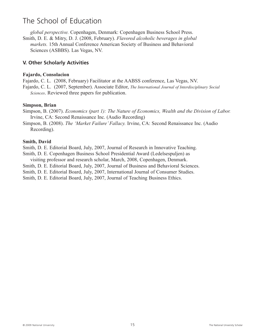*global perspective.* Copenhagen, Denmark: Copenhagen Business School Press. Smith, D. E. & Mitry, D. J. (2008, February). *Flavored alcoholic beverages in global markets.* 15th Annual Conference American Society of Business and Behavioral Sciences (ASBBS). Las Vegas, NV.

#### **V. Other Scholarly Activities**

#### **Fajardo, Consolacion**

Fajardo, C. L. (2008, February) Facilitator at the AABSS conference, Las Vegas, NV.

Fajardo, C. L. (2007, September). Associate Editor, *The International Journal of Interdisciplinary Social Sciences*. Reviewed three papers for publication.

#### **Simpson, Brian**

Simpson, B. (2007). *Economics (part 1): The Nature of Economics, Wealth and the Division of Labor.* Irvine, CA: Second Renaissance Inc. (Audio Recording)

Simpson, B. (2008). *The 'Market Failure' Fallacy.* Irvine, CA: Second Renaissance Inc. (Audio Recording).

#### **Smith, David**

Smith, D. E. Editorial Board, July, 2007, Journal of Research in Innovative Teaching.

Smith, D. E. Copenhagen Business School Presidential Award (Ledelsespuljen) as visiting professor and research scholar, March, 2008, Copenhagen, Denmark.

Smith, D. E. Editorial Board, July, 2007, Journal of Business and Behavioral Sciences.

Smith, D. E. Editorial Board, July, 2007, International Journal of Consumer Studies.

Smith, D. E. Editorial Board, July, 2007, Journal of Teaching Business Ethics.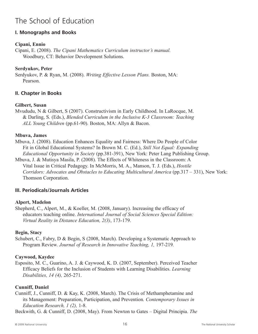#### **I. Monographs and Books**

#### **Cipani, Ennio**

Cipani, E. (2008). *The Cipani Mathematics Curriculum instructor's manual.* Woodbury, CT: Behavior Development Solutions.

#### **Serdyukov, Peter**

Serdyukov, P. & Ryan, M. (2008). *Writing Effective Lesson Plans.* Boston, MA: Pearson.

#### **II. Chapter in Books**

#### **Gilbert, Susan**

Mvududu, N & Gilbert, S (2007). Constructivism in Early Childhood. In LaRocque, M. & Darling, S. (Eds.), *Blended Curriculum in the Inclusive K-3 Classroom: Teaching ALL Young Children* (pp.61-90)*.* Boston, MA: Allyn & Bacon.

#### **Mbuva, James**

Mbuva, J. (2008). Education Enhances Equality and Fairness: Where Do People of Color Fit in Global Educational Systems? In Brown M. C. (Ed.), *Still Not Equal: Expanding Educational Opportunity in Society* (pp.381-391), New York: Peter Lang Publishing Group.

Mbuva, J. & Mutisya Masila, P. (2008). The Effects of Whiteness in the Classroom: A Vital Issue in Critical Pedagogy. In McMorris, M. A., Manson, T. J. (Eds.), *Hostile Corridors: Advocates and Obstacles to Educating Multicultural America* (pp.317 – 331), New York: Thomson Corporation.

#### **III. Periodicals/Journals Articles**

#### **Alpert, Madelon**

Shepherd, C., Alpert, M., & Koeller, M. (2008, January). Increasing the efficacy of educators teaching online. *International Journal of Social Sciences Special Edition: Virtual Reality in Distance Education, 2(3)*, 173-179.

#### **Begin, Stacy**

Schubert, C., Fabry, D & Begin, S (2008, March). Developing a Systematic Approach to Program Review. *Journal of Research in Innovative Teaching, 1,* 197-219*.*

#### **Caywood, Kaydee**

Esposito, M. C., Guarino, A. J. & Caywood, K. D. (2007, September). Perceived Teacher Efficacy Beliefs for the Inclusion of Students with Learning Disabilities. *Learning Disabilities, 14 (4),* 265-271.

#### **Cunniff, Daniel**

Cunniff, J., Cunniff, D. & Kay, K. (2008, March). The Crisis of Methamphetamine and its Management: Preparation, Participation, and Prevention*. Contemporary Issues in Education Research, 1 (2),* 1-8.

Beckwith, G. & Cunniff, D. (2008, May). From Newton to Gates – Digital Principia. *The*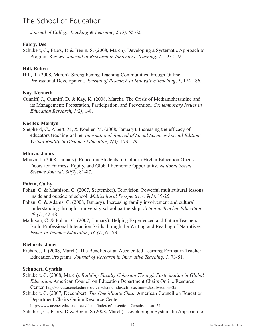*Journal of College Teaching & Learning, 5 (5),* 55-62*.*

#### **Fabry, Dee**

Schubert, C., Fabry, D & Begin, S. (2008, March). Developing a Systematic Approach to Program Review*. Journal of Research in Innovative Teaching*, *1*, 197-219.

#### **Hill, Robyn**

Hill, R. (2008, March). Strengthening Teaching Communities through Online Professional Development. *Journal of Research in Innovative Teaching*, *1*, 174-186.

#### **Kay, Kenneth**

Cunniff, J., Cunniff, D. & Kay, K. (2008, March). The Crisis of Methamphetamine and its Management: Preparation, Participation, and Prevention. *Contemporary Issues in Education Research*, *1(2)*, 1-8.

#### **Koeller, Marilyn**

Shepherd, C., Alpert, M, & Koeller, M. (2008, January). Increasing the efficacy of educators teaching online. *International Journal of Social Sciences Special Edition: Virtual Reality in Distance Education*, *2(3)*, 173-179.

#### **Mbuva, James**

Mbuva, J. (2008, January). Educating Students of Color in Higher Education Opens Doors for Fairness, Equity, and Global Economic Opportunity*. National Social Science Journal*, *30(2)*, 81-87.

#### **Pohan, Cathy**

- Pohan, C. & Mathison, C. (2007, September). Television: Powerful multicultural lessons inside and outside of school. *Multicultural Perspectives, 9(1)*, 19-25.
- Pohan, C. & Adams, C. (2008, January). Increasing family involvement and cultural understanding through a university-school partnership. *Action in Teacher Education*, *29 (1)*, 42-48.
- Mathison, C. & Pohan, C. (2007, January). Helping Experienced and Future Teachers Build Professional Interaction Skills through the Writing and Reading of Narratives*. Issues in Teacher Education*, *16 (1)*, 61-73.

#### **Richards, Janet**

Richards, J. (2008, March). The Benefits of an Accelerated Learning Format in Teacher Education Programs*. Journal of Research in Innovative Teaching*, *1*, 73-81.

#### **Schubert, Cynthia**

- Schubert, C. (2008, March). *Building Faculty Cohesion Through Participation in Global Education.* American Council on Education Department Chairs Online Resource Center. http://www.acenet.edu/resources/chairs/index.cfm?section=2&subsection=35
- Schubert, C. (2007, December). *The One Minute Chair.* American Council on Education Department Chairs Online Resource Center.

http://www.acenet.edu/resources/chairs/index.cfm?section=2&subsection=24 Schubert, C., Fabry, D & Begin, S (2008, March). Developing a Systematic Approach to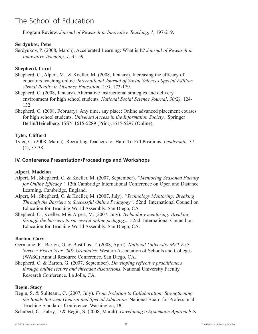Program Review. *Journal of Research in Innovative Teaching*, *1*, 197-219.

#### **Serdyukov, Peter**

Serdyukov, P. (2008, March). Accelerated Learning: What is It? *Journal of Research in Innovative Teaching, 1*, 35-59.

#### **Shepherd, Carol**

Shepherd, C., Alpert, M., & Koeller, M. (2008, January). Increasing the efficacy of educators teaching online. *International Journal of Social Sciences Special Edition: Virtual Reality in Distance Education*, *2(3)*, 173-179.

Shepherd, C. (2008, January). Alternative instructional strategies and delivery environment for high school students*. National Social Science Journal*, *30(2)*, 124- 132.

Shepherd, C. (2008, February). Any time, any place: Online advanced placement courses for high school students. *Universal Access in the Information Society*. Springer Berlin/Heidelberg. ISSN 1615-5289 (Print),1615-5297 (Online).

#### **Tyler, Clifford**

Tyler, C. (2008, March). Recruiting Teachers for Hard-To-Fill Positions*. Leadership,* 37 (4), 37-38.

#### **IV. Conference Presentation/Proceedings and Workshops**

#### **Alpert, Madelon**

- Alpert, M., Shepherd, C. & Koeller, M. (2007, September). *"Mentoring Seasoned Faculty for Online Efficacy".* 12th Cambridge International Conference on Open and Distance Learning. Cambridge, England.
- Alpert, M., Shepherd, C. & Koeller, M. (2007, July). *"Technology Mentoring: Breaking Through the Barriers to Successful Online Pedagogy".* 52nd International Council on Education for Teaching World Assembly. San Diego, CA

Shepherd, C., Koeller, M & Alpert, M. (2007, July). *Technology mentoring: Breaking through the barriers to successful online pedagogy.* 52nd International Council on Education for Teaching World Assembly. San Diego, CA.

#### **Barton, Gary**

- Germaine, R., Barton, G. & Bustillos, T. (2008, April). *National University MAT Exit Survey: Fiscal Year 2007 Graduates.* Western Association of Schools and Colleges (WASC) Annual Resource Conference. San Diego, CA.
- Shepherd, C. & Barton, G. (2007, September). *Developing reflective practitioners through online lecture and threaded discussions.* National University Faculty Research Conference. La Jolla, CA.

#### **Begin, Stacy**

Begin, S. & Suliteanu, C. (2007, July). *From Isolation to Collaboration: Strengthening the Bonds Between General and Special Education.* National Board for Professional Teaching Standards Conference. Washington, DC.

Schubert, C., Fabry, D & Begin, S. (2008, March). *Developing a Systematic Approach to*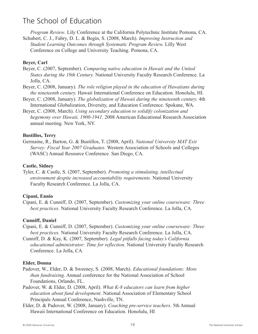*Program Review*. Lily Conference at the California Polytechnic Institute Pomona, CA.

Schubert, C. J., Fabry, D. L. & Begin, S. (2008, March). *Improving Instruction and Student Learning Outcomes through Systematic Program Review.* Lilly West Conference on College and University Teaching. Pomona, CA.

#### **Beyer, Carl**

- Beyer, C. (2007, September). *Comparing native education in Hawaii and the United States during the 19th Century.* National University Faculty Research Conference. La Jolla, CA.
- Beyer, C. (2008, January). *The role religion played in the education of Hawaiians during the nineteenth century.* Hawaii International Conference on Education. Honolulu, HI.
- Beyer, C. (2008, January). *The globalization of Hawaii during the nineteenth century.* 4th International Globalization, Diversity, and Education Conference. Spokane, WA.
- Beyer, C. (2008, March). *Using secondary education to solidify colonization and hegemony over Hawaii, 1900-1941.* 2008 American Educational Research Association annual meeting. New York, NY.

#### **Bustillos, Terry**

Germaine, R., Barton, G. & Bustillos, T. (2008, April). *National University MAT Exit Survey: Fiscal Year 2007 Graduates.* Western Association of Schools and Colleges (WASC) Annual Resource Conference. San Diego, CA.

#### **Castle, Sidney**

Tyler, C. & Castle, S. (2007, September). *Promoting a stimulating, intellectual environment despite increased accountability requirements.* National University Faculty Research Conference. La Jolla, CA.

#### **Cipani, Ennio**

Cipani, E. & Cunniff, D. (2007, September). *Customizing your online courseware: Three best practices.* National University Faculty Research Conference. La Jolla, CA.

#### **Cunniff, Daniel**

- Cipani, E. & Cunniff, D. (2007, September). *Customizing your online courseware: Three best practices.* National University Faculty Research Conference. La Jolla, CA.
- Cunniff, D. & Kay, K. (2007, September). *Legal pitfalls facing today's California educational administrator: Time for reflection.* National University Faculty Research Conference. La Jolla, CA.

#### **Elder, Donna**

- Padover, W., Elder, D. & Sweeney, S. (2008, March). *Educational foundations: More than fundraising*. Annual conference for the National Association of School Foundations, Orlando, FL.
- Padover, W. & Elder, D. (2008, April). *What K-8 educators can learn from higher education about fund development*. National Association of Elementary School Principals Annual Conference, Nashville, TN.
- Elder, D. & Padover, W. (2008, January). *Coaching pre-service teachers*. 5th Annual Hawaii International Conference on Education. Honolulu, HI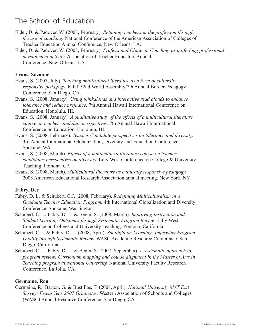- Elder, D. & Padover, W. (2008, February). *Retaining teachers in the profession through the use of coaching.* National Conference of the American Association of Colleges of Teacher Education Annual Conference, New Orleans, LA.
- Elder, D. & Padover, W. (2008, February). *Professional Clinic on Coaching as a life-long professional development activity*. Association of Teacher Educators Annual Conference, New Orleans, LA.

#### **Evans, Suzanne**

- Evans, S. (2007, July). *Teaching multicultural literature as a form of culturally responsive pedagogy.* ICET 52nd World Assembly/7th Annual Border Pedagogy Conference. San Diego, CA.
- Evans, S. (2008, January). *Using thinkalouds and interactive read alouds to enhance tolerance and reduce prejudice.* 7th Annual Hawaii International Conference on Education. Honolulu, HI.
- Evans, S. (2008, January). *A qualitative study of the effects of a multicultural literature course on teacher candidate perspectives.* 7th Annual Hawaii International Conference on Education. Honolulu, HI.
- Evans, S. (2008, February). *Teacher Candidate perspectives on tolerance and diversity.* 3rd Annual International Globalization, Diversity and Education Conference. Spokane, WA.
- Evans, S. (2008, March). *Effects of a multicultural literature course on teacher candidates perspectives on diversity.* Lilly West Conference on College & University Teaching. Pomona, CA
- Evans, S. (2008, March). *Multicultural literature as culturally responsive pedagogy.* 2008 American Educational Research Association annual meeting. New York, NY.

#### **Fabry, Dee**

- Fabry, D. L. & Schubert, C.J. (2008, February). *Redefining Multiculturalism in a Graduate Teacher Education Program.* 4th International Globalization and Diversity Conference. Spokane, Washington.
- Schubert, C. J., Fabry, D. L. & Begin, S. (2008, March). *Improving Instruction and Student Learning Outcomes through Systematic Program Review.* Lilly West Conference on College and University Teaching. Pomona, California
- Schubert, C. J. & Fabry, D. L. (2008, April). *Spotlight on Learning: Improving Program Quality through Systematic Review.* WASC Academic Resource Conference. San Diego, California.
- Schubert, C. J., Fabry, D. L. & Begin, S. (2007, September). *A systematic approach to program review: Curriculum mapping and course alignment in the Master of Arts in Teaching program at National University.* National University Faculty Research Conference. La Jolla, CA.

#### **Germaine, Ron**

Germaine, R., Barton, G. & Bustillos, T. (2008, April). *National University MAT Exit Survey: Fiscal Year 2007 Graduates.* Western Association of Schools and Colleges (WASC) Annual Resource Conference. San Diego, CA.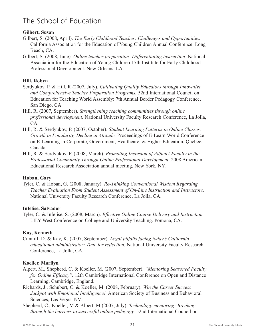#### **Gilbert, Susan**

- Gilbert, S. (2008, April). *The Early Childhood Teacher: Challenges and Opportunities.* California Association for the Education of Young Children Annual Conference. Long Beach, CA.
- Gilbert, S. (2008, June). *Online teacher preparation: Differentiating instruction.* National Association for the Education of Young Children 17th Institute for Early Childhood Professional Development. New Orleans, LA.

#### **Hill, Robyn**

- Serdyukov, P. & Hill, R (2007, July). *Cultivating Quality Educators through Innovative and Comprehensive Teacher Preparation Programs.* 52nd International Council on Education for Teaching World Assembly: 7th Annual Border Pedagogy Conference, San Diego, CA.
- Hill, R. (2007, September). *Strengthening teaching communities through online professional development.* National University Faculty Research Conference, La Jolla, CA.
- Hill, R. & Serdyukov, P. (2007, October). *Student Learning Patterns in Online Classes: Growth in Popularity, Decline in Attitude.* Proceedings of E-Learn World Conference on E-Learning in Corporate, Government, Healthcare, & Higher Education, Quebec, Canada.
- Hill, R. & Serdyukov, P. (2008, March). *Promoting Inclusion of Adjunct Faculty in the Professorial Community Through Online Professional Development.* 2008 American Educational Research Association annual meeting, New York, NY.

#### **Hoban, Gary**

Tyler, C. & Hoban, G. (2008, January). *Re-Thinking Conventional Wisdom Regarding Teacher Evaluation From Student Assessment of On-Line Instruction and Instructors.* National University Faculty Research Conference, La Jolla, CA.

#### **Infelise, Salvador**

Tyler, C. & Infelise, S. (2008, March). *Effective Online Course Delivery and Instruction.* LILY West Conference on College and University Teaching. Pomona, CA.

#### **Kay, Kenneth**

Cunniff, D. & Kay, K. (2007, September). *Legal pitfalls facing today's California educational administrator: Time for reflection.* National University Faculty Research Conference, La Jolla, CA.

#### **Koeller, Marilyn**

- Alpert, M., Shepherd, C. & Koeller, M. (2007, September). *"Mentoring Seasoned Faculty for Online Efficacy".* 12th Cambridge International Conference on Open and Distance Learning, Cambridge, England.
- Richards, J., Schubert, C. & Koeller, M. (2008, February). *Win the Career Success Jackpot with Emotional Intelligence!.* American Society of Business and Behavioral Sciences, Las Vegas, NV.
- Shepherd, C., Koeller, M & Alpert, M (2007, July). *Technology mentoring: Breaking through the barriers to successful online pedagogy.* 52nd International Council on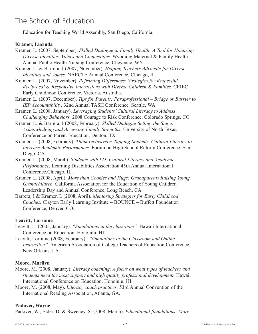Education for Teaching World Assembly, San Diego, California.

#### **Kramer, Lucinda**

Kramer, L. (2007, September). *Skilled Dialogue in Family Health: A Tool for Honoring Diverse Identities, Voices and Connections.* Wyoming Maternal & Family Health Annual Public Health Nursing Conference, Cheyenne, WY.

- Kramer, L. & Barrera, I (2007, November). *Helping Teachers Advocate for Diverse Identities and Voices.* NAECTE Annual Conference, Chicago, IL.
- Kramer, L. (2007, November). *Reframing Differences: Strategies for Respectful, Reciprocal & Responsive Interactions with Diverse Children & Families.* CEIEC Early Childhood Conference, Victoria, Australia.
- Kramer, L. (2007, December). *Tips for Parents: Paraprofessional – Bridge or Barrier to IEP Accountability.* 32nd Annual TASH Conference. Seattle, WA.
- Kramer, L. (2008, January). *Leveraging Students'Cultural Literacy to Address Challenging Behaviors.* 2008 Courage to Risk Conference. Colorado Springs, CO.
- Kramer, L. & Barrera, I (2008, February). *Skilled Dialogue-Setting the Stage: Acknowledging and Accessing Family Strengths.* University of North Texas, Conference on Parent Education, Denton, TX.
- Kramer, L. (2008, February). *Think Inclusively! Tapping Students'Cultural Literacy to Increase Academic Performance.* Forum on High School Reform Conference, San Diego, CA.
- Kramer, L. (2008, March). *Students with LD: Cultural Literacy and Academic Performance.* Learning Disabilities Association 45th Annual International Conference,Chicago, IL.
- Kramer, L. (2008, April). *More than Cookies and Hugs: Grandparents Raising Young Grandchildren.* California Association for the Education of Young Children Leadership Day and Annual Conference, Long Beach, CA
- Barrera, I & Kramer, L (2008, April). *Mentoring Strategies for Early Childhood Coaches.* Clayton Early Learning Institute – BOUNCE – Buffett Foundation Conference, Denver, CO.

#### **Leavitt, Lorraine**

- Leavitt, L. (2005, January). *"Simulations in the classroom".* Hawaii International Conference on Education. Honolulu, HI.
- Leavitt, Lorraine (2008, February). *"Simulations in the Classroom and Online Instruction".* American Association of College Teachers of Education Conference. New Orleans, LA.

#### **Moore, Marilyn**

- Moore, M. (2008, January). *Literacy coaching: A focus on what types of teachers and students need the most support and high quality professional development.* Hawaii International Conference on Education, Honolulu, HI.
- Moore, M. (2008, May). *Literacy coach practices.* 53rd Annual Convention of the International Reading Association, Atlanta, GA.

#### **Padover, Wayne**

Padover, W., Elder, D. & Sweeney, S. (2008, March). *Educational foundations: More*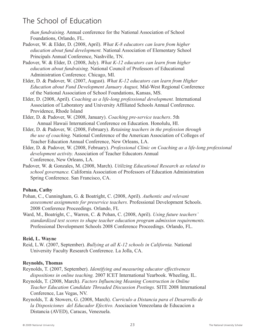*than fundraising.* Annual conference for the National Association of School Foundations, Orlando, FL.

- Padover, W. & Elder, D. (2008, April). *What K-8 educators can learn from higher education about fund development.* National Association of Elementary School Principals Annual Conference, Nashville, TN.
- Padover, W. & Elder, D. (2008, July). *What K-12 educators can learn from higher education about fundraising.* National Council of Professors of Educational Administration Conference. Chicago, MI.
- Elder, D. & Padover, W. (2007, August). *What K-12 educators can learn from Higher Education about Fund Development January August,* Mid-West Regional Conference of the National Association of School Foundations, Kansas, MS.
- Elder, D. (2008, April). *Coaching as a life-long professional development.* International Association of Laboratory and University Affiliated Schools Annual Conference. Providence, Rhode Island
- Elder, D. & Padover, W. (2008, January). *Coaching pre-service teachers*. 5th Annual Hawaii International Conference on Education. Honolulu, HI.
- Elder, D. & Padover, W. (2008, February). *Retaining teachers in the profession through the use of coaching.* National Conference of the American Association of Colleges of Teacher Education Annual Conference, New Orleans, LA.
- Elder, D. & Padover, W. (2008, February). *Professional Clinic on Coaching as a life-long professional development activity.* Association of Teacher Educators Annual Conference, New Orleans, LA.
- Padover, W. & Gonzales, M. (2008, March). *Utilizing Educational Research as related to school governance.* California Association of Professors of Education Administration Spring Conference. San Francisco, CA.

#### **Pohan, Cathy**

Pohan, C., Cunningham, G. & Boatright, C. (2008, April). *Authentic and relevant assessment assignments for preservice teachers.* Professional Development Schools. 2008 Conference Proceedings. Orlando, FL

Ward, M., Boatright, C., Warren, C. & Pohan, C. (2008, April). *Using future teachers' standardized test scores to shape teacher education program admission requirements.* Professional Development Schools 2008 Conference Proceedings. Orlando, FL.

#### **Reid, L. Wayne**

Reid, L.W. (2007, September). *Bullying at all K-12 schools in California.* National University Faculty Research Conference. La Jolla, CA.

#### **Reynolds, Thomas**

- Reynolds, T. (2007, September). *Identifying and measuring educator effectiveness dispositions in online teaching.* 2007 ICET International Yearbook. Wheeling, IL.
- Reynolds, T. (2008, March). *Factors Influencing Meaning Construction in Online Teacher Education Candidate Threaded Discussion Postings.* SITE 2008 International Conference, Las Vegas, NV.
- Reynolds, T. & Stowers, G. (2008, March). *Curriculo a Distancia para el Desarrollo de la Disposiciones del Educador Efectivo.* Asociacion Venezolana de Educacion a Distancia (AVED), Caracas, Venezuela.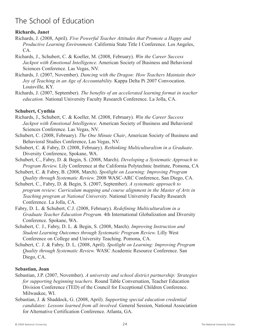#### **Richards, Janet**

- Richards, J. (2008, April). *Five Powerful Teacher Attitudes that Promote a Happy and Productive Learning Environment.* California State Title I Conference. Los Angeles, CA.
- Richards, J., Schubert, C. & Koeller, M. (2008, February). *Win the Career Success Jackpot with Emotional Intelligence.* American Society of Business and Behavioral Sciences Conference. Las Vegas, NV.
- Richards, J. (2007, November). *Dancing with the Dragon: How Teachers Maintain their Joy of Teaching in an Age of Accountability.* Kappa Delta Pi 2007 Convocation. Louisville, KY.
- Richards, J. (2007, September). *The benefits of an accelerated learning format in teacher education.* National University Faculty Research Conference. La Jolla, CA.

#### **Schubert, Cynthia**

- Richards, J., Schubert, C. & Koeller, M. (2008, February). *Win the Career Success Jackpot with Emotional Intelligence.* American Society of Business and Behavioral Sciences Conference. Las Vegas, NV.
- Schubert, C. (2008, February). *The One Minute Chair*, American Society of Business and Behavioral Studies Conference, Las Vegas, NV.
- Schubert, C. & Fabry, D. (2008, February). *Rethinking Multiculturalism in a Graduate*. Diversity Conference, Spokane, WA.
- Schubert, C., Fabry, D. & Begin, S. (2008, March). *Developing a Systematic Approach to Program Review.* Lily Conference at the California Polytechnic Institute, Pomona, CA
- Schubert, C. & Fabry, B. (2008, March). *Spotlight on Learning: Improving Program Quality through Systematic Review.* 2008 WASC-ARC Conference, San Diego, CA.
- Schubert, C., Fabry, D. & Begin, S. (2007, September). *A systematic approach to program review: Curriculum mapping and course alignment in the Master of Arts in Teaching program at National University.* National University Faculty Research Conference. La Jolla, CA.
- Fabry, D. L. & Schubert, C.J. (2008, February). *Redefining Multiculturalism in a Graduate Teacher Education Program.* 4th International Globalization and Diversity Conference. Spokane, WA.
- Schubert, C. J., Fabry, D. L. & Begin, S. (2008, March). *Improving Instruction and Student Learning Outcomes through Systematic Program Review.* Lilly West Conference on College and University Teaching. Pomona, CA.
- Schubert, C. J. & Fabry, D. L. (2008, April). *Spotlight on Learning: Improving Program Quality through Systematic Review.* WASC Academic Resource Conference. San Diego, CA.

#### **Sebastian, Joan**

- Sebastian, J.P. (2007, November). *A university and school district partnership: Strategies for supporting beginning teachers.* Round Table Conversation, Teacher Education Division Conference (TED) of the Council for Exceptional Children Conference. Milwaukee, WI.
- Sebastian, J. & Shaddock, G. (2008, April). *Supporting special education credential candidates: Lessons learned from all involved.* General Session, National Association for Alternative Certification Conference. Atlanta, GA.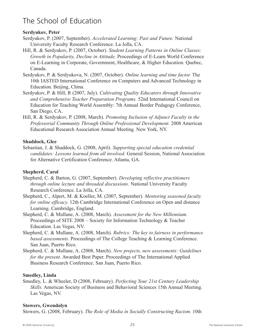#### **Serdyukov, Peter**

- Serdyukov, P. (2007, September). *Accelerated Learning: Past and Future.* National University Faculty Research Conference. La Jolla, CA.
- Hill, R. & Serdyukov, P. (2007, October). *Student Learning Patterns in Online Classes: Growth in Popularity, Decline in Attitude.* Proceedings of E-Learn World Conference on E-Learning in Corporate, Government, Healthcare, & Higher Education. Quebec, Canada.
- Serdyukov, P. & Serdyukova, N. (2007, October). *Online learning and time factor.* The 10th IASTED International Conference on Computers and Advanced Technology in Education. Beijing, China.
- Serdyukov, P. & Hill, R (2007, July). *Cultivating Quality Educators through Innovative and Comprehensive Teacher Preparation Programs.* 52nd International Council on Education for Teaching World Assembly: 7th Annual Border Pedagogy Conference, San Diego, CA.
- Hill, R. & Serdyukov, P. (2008, March). *Promoting Inclusion of Adjunct Faculty in the Professorial Community Through Online Professional Development.* 2008 American Educational Research Association Annual Meeting. New York, NY.

#### **Shaddock, Glee**

Sebastian, J. & Shaddock, G. (2008, April). *Supporting special education credential candidates: Lessons learned from all involved.* General Session, National Association for Alternative Certification Conference. Atlanta, GA.

#### **Shepherd, Carol**

- Shepherd, C. & Barton, G. (2007, September). *Developing reflective practitioners through online lecture and threaded discussions.* National University Faculty Research Conference. La Jolla, CA.
- Shepherd, C., Alpert, M. & Koeller, M. (2007, September). *Mentoring seasoned faculty for online efficacy.* 12th Cambridge International Conference on Open and distance Learning. Cambridge, England.
- Shepherd, C. & Mullane, A. (2008, March). *Assessment for the New Millennium.* Proceedings of SITE 2008 – Society for Information Technology & Teacher Education. Las Vegas, NV.
- Shepherd, C. & Mullane, A. (2008, March). *Rubrics: The key to fairness in performance based assessments.* Proceedings of The College Teaching & Learning Conference. San Juan, Puerto Rico.
- Shepherd, C. & Mullane, A. (2008, March). *New projects, new assessments: Guidelines for the present.* Awarded Best Paper. Proceedings of The International Applied Business Research Conference. San Juan, Puerto Rico.

#### **Smedley, Linda**

Smedley, L. & Wheeler, D (2008, February). *Perfecting Your 21st Century Leadership Skills.* American Society of Business and Behavioral Sciences 15th Annual Meeting. Las Vegas, NV.

#### **Stowers, Gwendolyn**

Stowers, G. (2008, February). *The Role of Media in Socially Constructing Racism.* 10th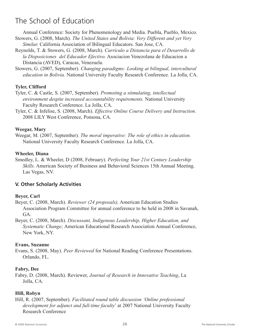Annual Conference: Society for Phenomenology and Media. Puebla, Pueblo, Mexico. Stowers, G. (2008, March). *The United States and Bolivia: Very Different and yet Very*

- *Similar.* California Association of Bilingual Educators. San Jose, CA.
- Reynolds, T. & Stowers, G. (2008, March). *Curriculo a Distancia para el Desarrollo de la Disposiciones del Educador Efectivo.* Asociacion Venezolana de Educacion a Distancia (AVED), Caracas, Venezuela.

Stowers, G. (2007, September). *Changing paradigms: Looking at bilingual, intercultural education in Bolivia.* National University Faculty Research Conference. La Jolla, CA.

#### **Tyler, Clifford**

- Tyler, C. & Castle, S. (2007, September). *Promoting a stimulating, intellectual environment despite increased accountability requirements.* National University Faculty Research Conference. La Jolla, CA.
- Tyler, C. & Infelise, S. (2008, March). *Effective Online Course Delivery and Instruction.* 2008 LILY West Conference, Pomona, CA.

#### **Weegar, Mary**

Weegar, M. (2007, September). *The moral imperative: The role of ethics in education.* National University Faculty Research Conference. La Jolla, CA.

#### **Wheeler, Diana**

Smedley, L. & Wheeler, D (2008, February). *Perfecting Your 21st Century Leadership Skills.* American Society of Business and Behavioral Sciences 15th Annual Meeting. Las Vegas, NV.

#### **V. Other Scholarly Activities**

#### **Beyer, Carl**

Beyer, C. (2008, March). *Reviewer (24 proposals),* American Education Studies Association Program Committee for annual conference to be held in 2008 in Savanah, GA.

Beyer, C. (2008, March). *Discussant, Indigenous Leadership, Higher Education, and Systematic Change;* American Educational Research Association Annual Conference, New York, NY.

#### **Evans, Suzanne**

Evans, S. (2008, May). *Peer Reviewed* for National Reading Conference Presentations. Orlando, FL.

#### **Fabry, Dee**

Fabry, D. (2008, March). Reviewer, *Journal of Research in Innovative Teaching*, La Jolla, CA.

#### **Hill, Robyn**

Hill, R. (2007, September). *Facilitated round table discussion 'Online professional development for adjunct and full-time faculty*' at 2007 National University Faculty Research Conference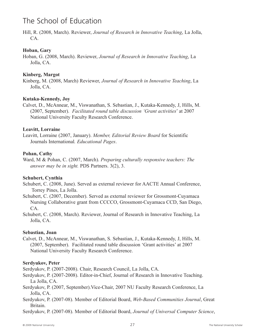Hill, R. (2008, March). Reviewer, *Journal of Research in Innovative Teaching*, La Jolla, CA.

#### **Hoban, Gary**

Hoban, G. (2008, March). Reviewer, *Journal of Research in Innovative Teaching*, La Jolla, CA.

#### **Kinberg, Margot**

Kinberg, M. (2008, March) Reviewer, *Journal of Research in Innovative Teaching*, La Jolla, CA.

#### **Kutaka-Kennedy, Joy**

Calvet, D., McAnnear, M., Viswanathan, S. Sebastian, J., Kutaka-Kennedy, J, Hills, M. (2007, September). *Facilitated round table discussion 'Grant activities*' at 2007 National University Faculty Research Conference.

#### **Leavitt, Lorraine**

Leavitt, Lorraine (2007, January). *Member, Editorial Review Board* for Scientific Journals International*. Educational Pages*.

#### **Pohan, Cathy**

Ward, M & Pohan, C. (2007, March). *Preparing culturally responsive teachers: The answer may be in sight.* PDS Partners. 3(2), 3.

#### **Schubert, Cynthia**

Schubert, C. (2008, June). Served as external reviewer for AACTE Annual Conference, Torrey Pines, La Jolla.

Schubert, C. (2007, December). Served as external reviewer for Grossmont-Cuyamaca Nursing Collaborative grant from CCCCO, Grossmont-Cuyamaca CCD, San Diego, CA.

Schubert, C. (2008, March). Reviewer, Journal of Research in Innovative Teaching, La Jolla, CA.

#### **Sebastian, Joan**

Calvet, D., McAnnear, M., Viswanathan, S. Sebastian, J., Kutaka-Kennedy, J, Hills, M. (2007, September). Facilitated round table discussion 'Grant activities' at 2007 National University Faculty Research Conference.

#### **Serdyukov, Peter**

Serdyukov, P. (2007-2008). Chair, Research Council, La Jolla, CA.

- Serdyukov, P. (2007-2008). Editor-in-Chief, Journal of Research in Innovative Teaching. La Jolla, CA.
- Serdyukov, P. (2007, September).Vice-Chair, 2007 NU Faculty Research Conference, La Jolla, CA.
- Serdyukov, P. (2007-08). Member of Editorial Board, *Web-Based Communities Journal*, Great Britain.

Serdyukov, P. (2007-08). Member of Editorial Board, *Journal of Universal Computer Science*,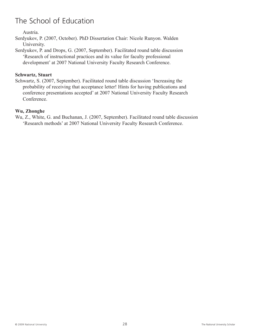Austria.

Serdyukov, P. (2007, October). PhD Dissertation Chair: Nicole Runyon. Walden University.

Serdyukov, P. and Drops, G. (2007, September). Facilitated round table discussion 'Research of instructional practices and its value for faculty professional development' at 2007 National University Faculty Research Conference.

#### **Schwartz, Stuart**

Schwartz, S. (2007, September). Facilitated round table discussion 'Increasing the probability of receiving that acceptance letter! Hints for having publications and conference presentations accepted' at 2007 National University Faculty Research Conference.

#### **Wu, Zhonghe**

Wu, Z., White, G. and Buchanan, J. (2007, September). Facilitated round table discussion 'Research methods' at 2007 National University Faculty Research Conference.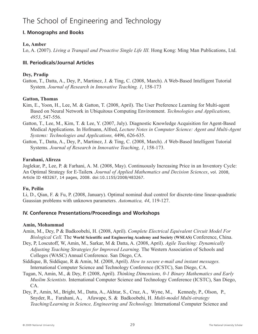#### **I. Monographs and Books**

#### **Lo, Amber**

Lo, A. (2007). *Living a Tranquil and Proactive Single Life III.* Hong Kong: Ming Man Publications, Ltd.

#### **III. Periodicals/Journal Articles**

#### **Dey, Pradip**

Gatton, T., Datta, A., Dey, P., Martinez, J. & Ting, C. (2008, March). A Web-Based Intelligent Tutorial System*. Journal of Research in Innovative Teaching. 1*, 158-173

#### **Gatton, Thomas**

- Kim, E., Yoon, H., Lee, M. & Gatton, T. (2008, April). The User Preference Learning for Multi-agent Based on Neural Network in Ubiquitous Computing Environment. *Technologies and Applications, 4953*, 547-556.
- Gatton, T., Lee, M., Kim, T. & Lee, Y. (2007, July). Diagnostic Knowledge Acquisition for Agent-Based Medical Applications. In Hofmann, Alfred, *Lecture Notes in Computer Science: Agent and Multi-Agent Systems: Technologies and Applications,* 4496, 626-635.
- Gatton, T., Datta, A., Dey, P., Martinez, J. & Ting, C. (2008, March). *A* Web-Based Intelligent Tutorial Systems. *Journal of Research in Innovative Teaching, 1*, 158-173.

#### **Farahani, Alireza**

Joglekar, P., Lee, P. & Farhani, A. M. (2008, May). Continuously Increasing Price in an Inventory Cycle: An Optimal Strategy for E-Tailer**s***. Journal of Applied Mathematics and Decision Sciences*, vol. 2008, Article ID 483267, 14 pages, 2008. doi:10.1155/2008/483267.

#### **Fu, Peilin**

Li, D., Qian, F. & Fu, P. (2008, January). Optimal nominal dual control for discrete-time linear-quadratic Gaussian problems with unknown parameters. *Automatica, 44*, 119-127.

#### **IV. Conference Presentations/Proceedings and Workshops**

#### **Amin, Mohammad**

- Amin, M., Dey, P & Badkoobehi, H. (2008, April). *Complete Electrical Equivalent Circuit Model For Biological Cell.* The **World Scientific and Engineering Academy and Society (WSEAS)** Conference, China.
- Dey, P, Loscutoff, W, Amin, M., Sarkar, M & Datta, A. (2008, April). *Agile Teaching: Dynamically Adjusting Teaching Strategies for Improved Learning.* The Western Association of Schools and Colleges (WASC) Annual Conference. San Diego, CA.
- Siddique, B, Siddique, R & Amin, M. (2008, April). *How to secure e-mail and instant messages.* International Computer Science and Technology Conference (ICSTC), San Diego, CA.
- Tugan, N, Amin, M., & Dey, P. (2008, April). *Thinking Dimensions, 0-1 Binary Mathematics and Early Muslim Scientists.* International Computer Science and Technology Conference (ICSTC), San Diego, CA.
- Dey, P., Amin, M., Bright, M., Datta, A., Akhtar, S., Cruz, A., Wyne, M., Kennedy, P., Olson, P., Snyder, R., Farahani, A., Afuwape, S. & Badkoobehi, H. *Multi-model Multi-strategy Teaching/Learning in Science, Engineering and Technology.* International Computer Science and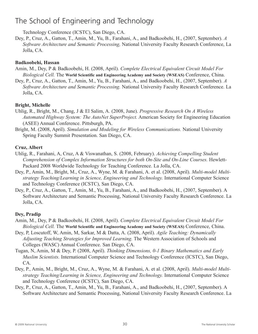Technology Conference (ICSTC), San Diego, CA.

Dey, P., Cruz, A., Gatton, T., Amin, M., Yu, B., Farahani, A., and Badkoobehi, H., (2007, September). *A Software Architecture and Semantic Processing,* National University Faculty Research Conference, La Jolla, CA.

#### **Badkoobehi, Hassan**

- Amin, M., Dey, P & Badkoobehi, H. (2008, April). *Complete Electrical Equivalent Circuit Model For Biological Cell.* The **World Scientific and Engineering Academy and Society (WSEAS)** Conference, China.
- Dey, P., Cruz, A., Gatton, T., Amin, M., Yu, B., Farahani, A., and Badkoobehi, H., (2007, September). *A Software Architecture and Semantic Processing.* National University Faculty Research Conference. La Jolla, CA.

#### **Bright, Michelle**

- Uhlig, R., Bright, M., Chang, J & El Salim, A. (2008, June). *Progressive Research On A Wireless Automated Highway System: The AutoNet SuperProject.* American Society for Engineering Education (ASEE) Annual Conference. Pittsburgh, PA.
- Bright, M. (2008, April). *Simulation and Modeling for Wireless Communications.* National University Spring Faculty Summit Presentation. San Diego, CA.

#### **Cruz, Albert**

- Uhlig, R., Farahani, A, Cruz, A & Viswanathan, S. (2008, February). *Achieving Compelling Student Comprehension of Complex Information Structures for both On-Site and On-Line Courses.* Hewlett-Packard 2008 Worldwide Technology for Teaching Conference. La Jolla, CA.
- Dey, P., Amin, M., Bright, M., Cruz, A., Wyne, M. & Farahani, A. et al. (2008, April). *Multi-model Multistrategy Teaching/Learning in Science, Engineering and Technology.* International Computer Science and Technology Conference (ICSTC), San Diego, CA.
- Dey, P., Cruz, A., Gatton, T., Amin, M., Yu, B., Farahani, A., and Badkoobehi, H., (2007, September). A Software Architecture and Semantic Processing, National University Faculty Research Conference. La Jolla, CA.

#### **Dey, Pradip**

- Amin, M., Dey, P & Badkoobehi, H. (2008, April). *Complete Electrical Equivalent Circuit Model For Biological Cell.* The **World Scientific and Engineering Academy and Society (WSEAS)** Conference, China.
- Dey, P, Loscutoff, W, Amin, M, Sarkar, M & Datta, A. (2008, April). *Agile Teaching: Dynamically Adjusting Teaching Strategies for Improved Learning.* The Western Association of Schools and Colleges (WASC) Annual Conference. San Diego, CA.
- Tugan, N, Amin, M & Dey, P. (2008, April). *Thinking Dimensions, 0-1 Binary Mathematics and Early Muslim Scientists.* International Computer Science and Technology Conference (ICSTC), San Diego, CA.
- Dey, P., Amin, M., Bright, M., Cruz, A., Wyne, M. & Farahani, A. et al. (2008, April). *Multi-model Multistrategy Teaching/Learning in Science, Engineering and Technology.* International Computer Science and Technology Conference (ICSTC), San Diego, CA.
- Dey, P., Cruz, A., Gatton, T., Amin, M., Yu, B., Farahani, A., and Badkoobehi, H., (2007, September). A Software Architecture and Semantic Processing, National University Faculty Research Conference. La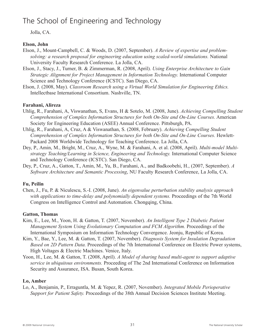Jolla, CA.

#### **Elson, John**

- Elson, J., Mount-Campbell, C. & Woods, D. (2007, September). *A Review of expertise and problemsolving: a research proposal for engineering education using scaled-world simulations.* National University Faculty Research Conference. La Jolla, CA.
- Elson, J., Stacy, J., Turner, B. & Zimmerman, R. (2008, April). *Using Enterprise Architecture to Gain Strategic Alignment for Project Management in Information Technology.* International Computer Science and Technology Conference (ICSTC). San Diego, CA.
- Elson, J. (2008, May). *Classroom Research using a Virtual World Simulation for Engineering Ethics.* Intellectbase International Consortium. Nashville, TN.

#### **Farahani, Alireza**

- Uhlig, R., Farahani, A, Viswanathan, S, Evans, H & Sotelo, M. (2008, June). *Achieving Compelling Student Comprehension of Complex Information Structures for both On-Site and On-Line Courses.* American Society for Engineering Education (ASEE) Annual Conference. Pittsburgh, PA.
- Uhlig, R., Farahani, A, Cruz, A & Viswanathan, S. (2008, February). *Achieving Compelling Student Comprehension of Complex Information Structures for both On-Site and On-Line Courses.* Hewlett-Packard 2008 Worldwide Technology for Teaching Conference. La Jolla, CA.
- Dey, P., Amin, M., Bright, M., Cruz, A., Wyne, M. & Farahani, A. et al. (2008, April). *Multi-model Multistrategy Teaching/Learning in Science, Engineering and Technology.* International Computer Science and Technology Conference (ICSTC). San Diego, CA.
- Dey, P., Cruz, A., Gatton, T., Amin, M., Yu, B., Farahani, A., and Badkoobehi, H., (2007, September). *A Software Architecture and Semantic Processing*, NU Faculty Research Conference, La Jolla, CA.

#### **Fu, Peilin**

Chen, J., Fu, P. & Niculescu, S.-I. (2008, June). *An eigenvalue perturbation stability analysis approach with applications to time-delay and polynomially dependent systems.* Proceedings of the 7th World Congress on Intelligence Control and Automation. Chongqing, China.

#### **Gatton, Thomas**

- Kim, E., Lee, M., Yoon, H. & Gatton, T. (2007, November). *An Intelligent Type 2 Diabetic Patient Management System Using Evolutionary Computation and FCM Algorithm.* Proceedings of the International Symposium on Information Technology Convergence. Jeonju, Republic of Korea.
- Kim, Y., Bae, Y., Lee, M. & Gatton, T. (2007, November). *Diagnosis System for Insulation Degradation Based on 2D Pattern Data.* Proceedings of the 7th International Conference on Electric Power systems, High Voltages & Electric Machines. Venice, Italy.
- Yoon, H., Lee, M. & Gatton, T. (2008, April). *A Model of sharing based multi-agent to support adaptive service in ubiquitous environments.* Proceeding of The 2nd International Conference on Information Security and Assurance, ISA. Busan, South Korea.

#### **Lo, Amber**

Lo, A., Benjamin, P., Erraguntla, M. & Yepez, R. (2007, November). *Integrated Mobile Perioperative Support for Patient Safety.* Proceedings of the 38th Annual Decision Sciences Institute Meeting.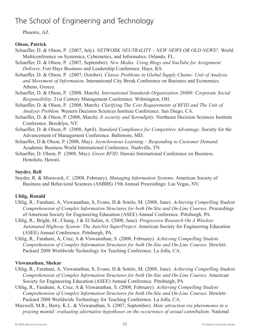Phoenix, AZ.

#### **Olson, Patrick**

- Schaeffer, D. & Olson, P. (2007, July). *NETWORK NEUTRALITY – NEW NEWS OR OLD NEWS?.* World Multiconference on Systemics, Cybernetics, and Informatics. Orlando, FL.
- Schaeffer, D. & Olson, P. (2007, September). *New Media: Using Blogs and YouTube for Assignment Delivery.* Fort Hays Business and Leadership Conference. Hays, KS.
- Schaeffer, D. & Olson, P. (2007, October). *Classic Problems in Global Supply Chains: Unit of Analysis and Movement of Information.* International City Break Conference on Business and Economics. Athens, Greece.
- Schaeffer, D. & Olson, P. (2008, March). *International Standards Organization 26000: Corporate Social Responsibility.* 21st Century Management Conference. Wilmington, OH.
- Schaeffer, D. & Olson, P. (2008, March). *Clarifying The Cost Requirements of RFID and The Unit of Analysis Problem.* Western Decision Sciences Institute Conference. San Diego, CA.
- Schaeffer, D. & Olson, P. (2008, March). *It security and Serendipity.* Northeast Decision Sciences Institute Conference. Brooklyn, NY.
- Schaeffer, D. & Olson, P. (2008, April). *Standard Compliance for Competitive Advantage.* Society for the Advancement of Management Conference. Baltimore, MD.
- Schaeffer, D & Olson, P. (2008, May). *Asynchronous Learning – Responding to Customer Demand.* Academic Business World International Conference. Nashville, TN.
- Schaeffer, D. Olson, P. (2008, May). *Green RFID.* Hawaii International Conference on Business. Honolulu, Hawaii.

#### **Snyder, Rell**

Snyder, R. & Moraveck, C. (2008, February). *Managing Information Systems.* American Society of Business and Behavioral Sciences (ASBBS) 15th Annual Proceedings: Las Vegas, NV.

#### **Uhlig, Ronald**

- Uhlig, R., Farahani, A, Viswanathan, S, Evans, H & Sotelo, M. (2008, June). *Achieving Compelling Student Comprehension of Complex Information Structures for both On-Site and On-Line Courses.* Proceedings of American Society for Engineering Education (ASEE) Annual Conference. Pittsburgh, PA.
- Uhlig, R., Bright, M., Chang, J & El Salim, A. (2008, June). *Progressive Research On A Wireless Automated Highway System: The AutoNet SuperProject.* American Society for Engineering Education (ASEE) Annual Conference. Pittsburgh, PA.
- Uhlig, R., Farahani, A, Cruz, A & Viswanathan, S. (2008, February). *Achieving Compelling Student Comprehension of Complex Information Structures for both On-Site and On-Line Courses.* Hewlett-Packard 2008 Worldwide Technology for Teaching Conference. La Jolla, CA.

#### **Viswanathan, Shekar**

- Uhlig, R., Farahani, A, Viswanathan, S, Evans, H & Sotelo, M. (2008, June). *Achieving Compelling Student Comprehension of Complex Information Structures for both On-Site and On-Line Courses.* American Society for Engineering Education (ASEE) Annual Conference. Pittsburgh, PA
- Uhlig, R., Farahani, A, Cruz, A & Viswanathan, S. (2008, February). *Achieving Compelling Student Comprehension of Complex Information Structures for both On-Site and On-Line Courses.* Hewlett-Packard 2008 Worldwide Technology for Teaching Conference. La Jolla, CA.
- Maxwell, M.R., Barry, K.L. & Viswanathan, S. (2007, September). *Mate attraction via pheromones in a praying mantid: evaluating alternative hypotheses on the occurrence of sexual cannibalism.* National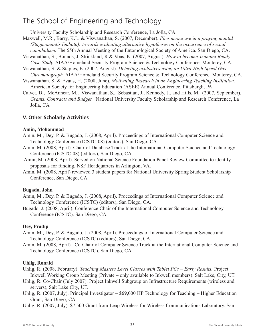University Faculty Scholarship and Research Conference, La Jolla, CA.

- Maxwell, M.R., Barry, K.L. & Viswanathan, S. (2007, December). *Pheromone use in a praying mantid (Stagmomantis limbata): towards evaluating alternative hypotheses on the occurrence of sexual cannibalism.* The 55th Annual Meeting of the Entomological Society of America. San Diego, CA.
- Viswanathan, S., Bounds, J, Strickland, R & Voas, K. (2007, August). *How to become Tsunami Ready – Case Study.* AIAA/Homeland Security Program Science & Technology Conference. Monterey, CA.
- Viswanathan, S. & Staples, E. (2007, August). *Detecting explosives using an Ultra-High Speed Gas Chromatograph.* AIAA/Homeland Security Program Science & Technology Conference. Monterey, CA.
- Viswanathan, S. & Evans, H. (2008, June). *Motivating Research in an Engineering Teaching Institution.* American Society for Engineering Education (ASEE) Annual Conference. Pittsburgh, PA
- Calvet, D., McAnnear, M., Viswanathan, S., Sebastian, J., Kennedy, J., and Hills, M. (2007, September). *Grants, Contracts and Budget.* National University Faculty Scholarship and Research Conference, La Jolla, CA

#### **V. Other Scholarly Activities**

#### **Amin, Mohammad**

- Amin, M., Dey, P. & Bugado, J. (2008, April). Proceedings of International Computer Science and Technology Conference (ICSTC-08) (editors), San Diego, CA.
- Amin, M. (2008, April). Chair of Database Track at the International Computer Science and Technology Conference (ICSTC-08) (editors), San Diego, CA.
- Amin, M. (2008, April). Served on National Science Foundation Panel Review Committee to identify proposals for funding. NSF Headquarters in Arlington, VA.
- Amin, M. (2008, April) reviewed 3 student papers for National University Spring Student Scholarship Conference, San Diego, CA.

#### **Bugado, John**

- Amin, M., Dey, P. & Bugado, J. (2008, April**).** Proceedings of International Computer Science and Technology Conference (ICSTC) (editors), San Diego, CA.
- Bugado, J. (2008, April). Conference Chair of the International Computer Science and Technology Conference (ICSTC). San Diego, CA.

#### **Dey, Pradip**

- Amin, M., Dey, P. & Bugado, J. (2008, April). Proceedings of International Computer Science and Technology Conference (ICSTC) (editors), San Diego, CA.
- Amin, M. (2008, April). Co-Chair of Computer Science Track at the International Computer Science and Technology Conference (ICSTC). San Diego, CA.

#### **Uhlig, Ronald**

- Uhlig, R. (2008, February). *Teaching Masters Level Classes with Tablet PCs – Early Results.* Project Inkwell Working Group Meeting (Private – only available to Inkwell members). Salt Lake, City, UT.
- Uhlig, R. Co-Chair (July 2007). Project Inkwell Subgroup on Infrastructure Requirements (wireless and servers), Salt Lake City, UT.
- Uhlig, R. (2007, July). Principal Investigator \$69,000 HP Technology for Teaching Higher Education Grant, San Diego, CA.
- Uhlig, R. (2007, July). \$7,500 Grant from Leap Wireless for Wireless Communications Laboratory. San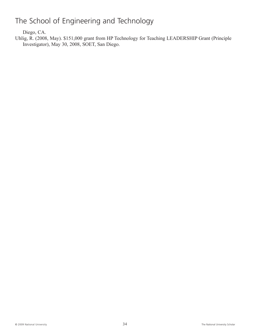Diego, CA.

Uhlig, R. (2008, May). \$151,000 grant from HP Technology for Teaching LEADERSHIP Grant (Principle Investigator), May 30, 2008, SOET, San Diego.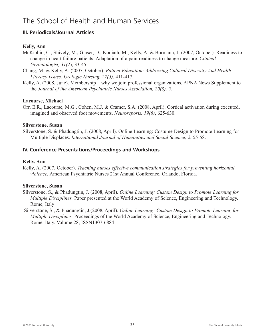### The School of Health and Human Services

#### **III. Periodicals/Journal Articles**

#### **Kelly, Ann**

- McKibbin, C., Shively, M., Glaser, D., Kodiath, M., Kelly, A. & Bormann, J. (2007, October). Readiness to change in heart failure patients: Adaptation of a pain readiness to change measure. *Clinical Gerontologist, 31(*2), 33-45.
- Chang, M. & Kelly, A. (2007, October). *Patient Education: Addressing Cultural Diversity And Health Literacy Issues. Urologic Nursing, 27(5)*, 411-417.
- Kelly, A. (2008, June). Membership why we join professional organizations*.* APNA News Supplement to the *Journal of the American Psychiatric Nurses Association, 20(3), 5.*

#### **Lacourse, Michael**

Orr, E.R., Lacourse, M.G., Cohen, M.J. & Cramer, S.A. (2008, April). Cortical activation during executed, imagined and observed foot movements. *Neuroreports, 19(6)*, 625-630.

#### **Silverstone, Susan**

Silverstone, S. & Phadungtin, J. (2008, April). Online Learning: Costume Design to Promote Learning for Multiple Displaces. *International Journal of Humanities and Social Science, 2*, 55-58.

#### **IV. Conference Presentations/Proceedings and Workshops**

#### **Kelly, Ann**

Kelly, A. (2007, October). *Teaching nurses effective communication strategies for preventing horizontal violence.* American Psychiatric Nurses 21st Annual Conference. Orlando, Florida.

#### **Silverstone, Susan**

- Silverstone, S., & Phadungtin, J. (2008, April). *Online Learning: Custom Design to Promote Learning for Multiple Disciplines.* Paper presented at the World Academy of Science, Engineering and Technology. Rome, Italy
- Silverstone, S., & Phadungtin, J.(2008, April). *Online Learning: Custom Design to Promote Learning for Multiple Disciplines.* Proceedings of the World Academy of Science, Engineering and Technology. Rome, Italy. Volume 28, ISSN1307-6884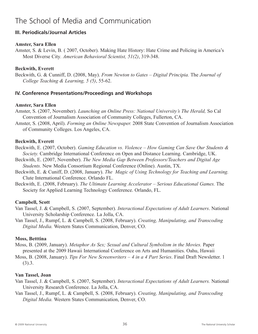### The School of Media and Communication

#### **III. Periodicals/Journal Articles**

#### **Amster, Sara Ellen**

Amster, S. & Levin, B. ( 2007, October). Making Hate History: Hate Crime and Policing in America's Most Diverse City*. American Behavioral Scientist, 51(2)*, 319-348.

#### **Beckwith, Everett**

Beckwith, G. & Cunniff, D. (2008, May). *From Newton to Gates – Digital Principia.* The *Journal of College Teaching & Learning, 5 (5)*, 55-62.

#### **IV. Conference Presentations/Proceedings and Workshops**

#### **Amster, Sara Ellen**

Amster, S. (2007, November). *Launching an Online Press: National University's The Herald,* So Cal Convention of Journalism Association of Community Colleges, Fullerton, CA.

Amster, S. (2008, April). *Forming an Online Newspaper.* 2008 State Convention of Journalism Association of Community Colleges. Los Angeles, CA.

#### **Beckwith, Everett**

Beckwith, E. (2007, October). *Gaming Education vs. Violence – How Gaming Can Save Our Students & Society.* Cambridge International Conference on Open and Distance Learning. Cambridge, UK.

Beckwith, E. (2007, November). *The New Media Gap Between Professors/Teachers and Digital Age Students.* New Media Consortium Regional Conference (Online). Austin, TX.

Beckwith, E. & Cuniff, D. (2008, January). *The Magic of Using Technology for Teaching and Learning.* Clute International Conference. Orlando FL.

Beckwith, E. (2008, February). *The Ultimate Learning Accelerator – Serious Educational Games.* The Society for Applied Learning Technology Conference. Orlando, FL.

#### **Campbell, Scott**

Van Tassel, J. & Campbell, S. (2007, September). *Interactional Expectations of Adult Learners*. National University Scholarship Conference. La Jolla, CA.

Van Tassel, J., Rumpf, L. & Campbell, S. (2008, February). *Creating, Manipulating, and Transcoding Digital Media.* Western States Communication, Denver, CO.

#### **Moss, Betttina**

Moss, B. (2009, January). *Metaphor As Sex; Sexual and Cultural Symbolism in the Movies.* Paper presented at the 2009 Hawaii International Conference on Arts and Humanities. Oahu, Hawaii

Moss, B. (2008, January). *Tips For New Screenwriters – 4 in a 4 Part Series*. Final Draft Newsletter. 1 (3).3.

#### **Van Tassel, Joan**

- Van Tassel, J. & Campbell, S. (2007, September). *Interactional Expectations of Adult Learners.* National University Research Conference. La Jolla, CA.
- Van Tassel, J., Rumpf, L. & Campbell, S. (2008, February). *Creating, Manipulating, and Transcoding Digital Media.* Western States Communication, Denver, CO.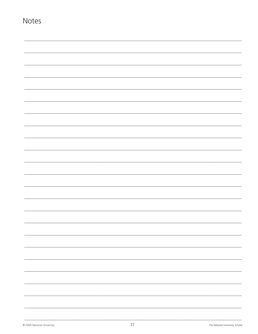| <b>Notes</b> |  |  |   |
|--------------|--|--|---|
|              |  |  |   |
|              |  |  |   |
|              |  |  |   |
|              |  |  |   |
|              |  |  |   |
|              |  |  |   |
|              |  |  |   |
|              |  |  |   |
|              |  |  |   |
|              |  |  |   |
|              |  |  |   |
|              |  |  |   |
|              |  |  |   |
|              |  |  |   |
|              |  |  |   |
|              |  |  | - |
|              |  |  |   |
|              |  |  |   |
|              |  |  |   |
|              |  |  |   |
|              |  |  |   |
|              |  |  |   |
|              |  |  | - |